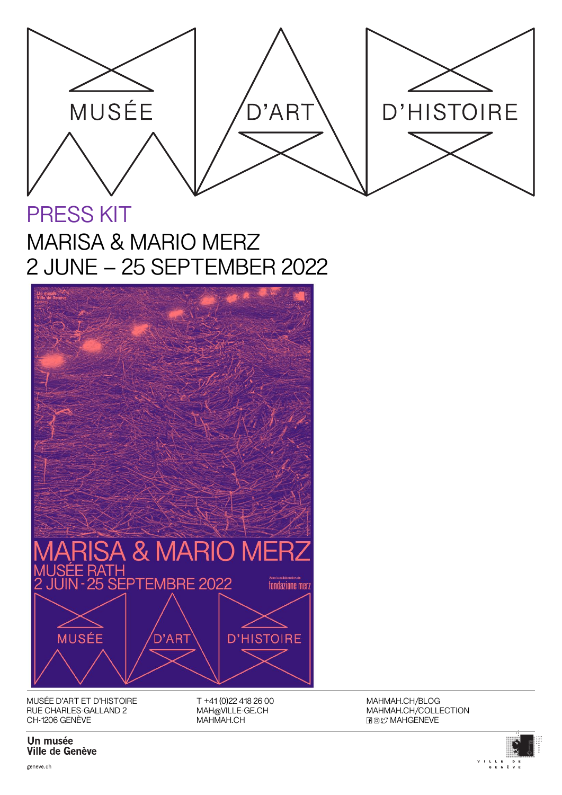

PRESS KIT MARISA & MARIO MERZ 2 JUNE – 25 SEPTEMBER 2022



MUSÉE D'ART ET D'HISTOIRE RUE CHARLES-GALLAND 2 CH-1206 GENÈVE

T +41 (0)22 418 26 00 MAH@VILLE-GE.CH MAHMAH.CH

MAHMAH.CH/BLOG MAHMAH.CH/COLLECTION **HOV MAHGENEVE** 



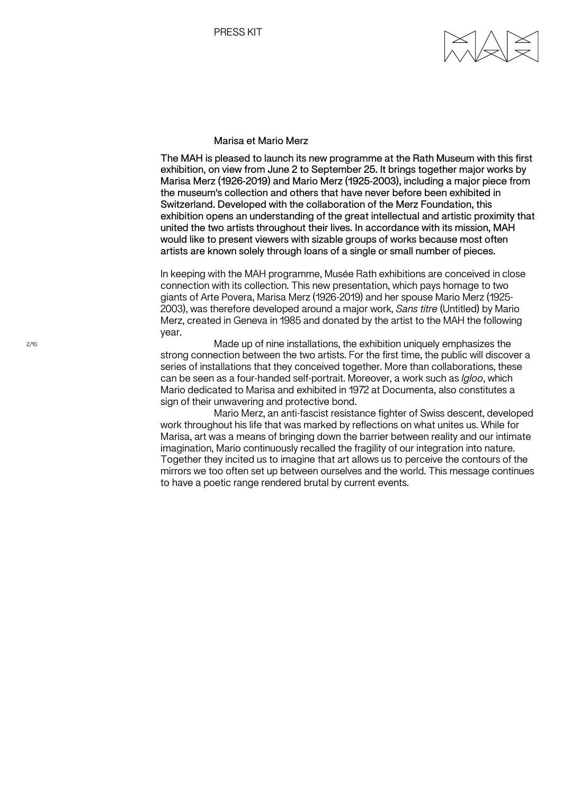## Marisa et Mario Merz

The MAH is pleased to launch its new programme at the Rath Museum with this first exhibition, on view from June 2 to September 25. It brings together major works by Marisa Merz (1926-2019) and Mario Merz (1925-2003), including a major piece from the museum's collection and others that have never before been exhibited in Switzerland. Developed with the collaboration of the Merz Foundation, this exhibition opens an understanding of the great intellectual and artistic proximity that united the two artists throughout their lives. In accordance with its mission, MAH would like to present viewers with sizable groups of works because most often artists are known solely through loans of a single or small number of pieces.

In keeping with the MAH programme, Musée Rath exhibitions are conceived in close connection with its collection. This new presentation, which pays homage to two giants of Arte Povera, Marisa Merz (1926-2019) and her spouse Mario Merz (1925- 2003), was therefore developed around a major work, *Sans titre* (Untitled) by Mario Merz, created in Geneva in 1985 and donated by the artist to the MAH the following year.

Made up of nine installations, the exhibition uniquely emphasizes the strong connection between the two artists. For the first time, the public will discover a series of installations that they conceived together. More than collaborations, these can be seen as a four-handed self-portrait. Moreover, a work such as *Igloo*, which Mario dedicated to Marisa and exhibited in 1972 at Documenta, also constitutes a sign of their unwavering and protective bond.

Mario Merz, an anti-fascist resistance fighter of Swiss descent, developed work throughout his life that was marked by reflections on what unites us. While for Marisa, art was a means of bringing down the barrier between reality and our intimate imagination, Mario continuously recalled the fragility of our integration into nature. Together they incited us to imagine that art allows us to perceive the contours of the mirrors we too often set up between ourselves and the world. This message continues to have a poetic range rendered brutal by current events.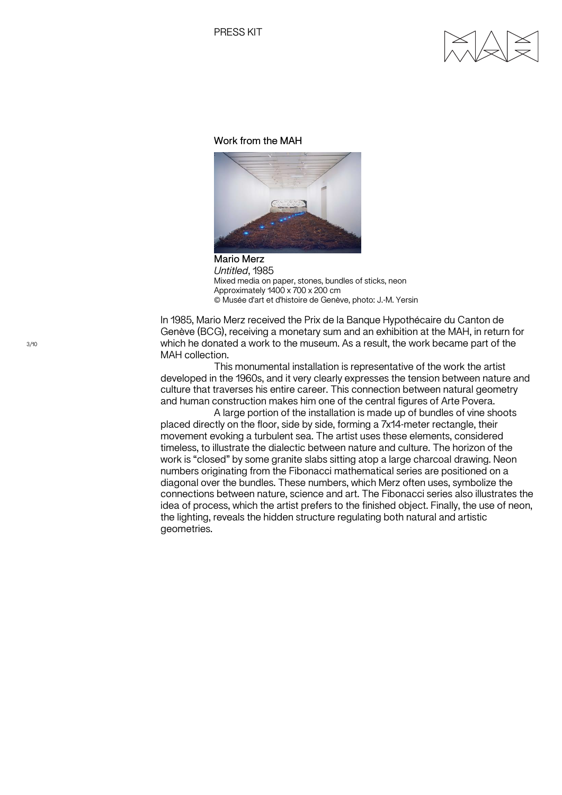### Work from the MAH



Mario Merz *Untitled*, 1985 Mixed media on paper, stones, bundles of sticks, neon Approximately 1400 x 700 x 200 cm © Musée d'art et d'histoire de Genève, photo: J.-M. Yersin

In 1985, Mario Merz received the Prix de la Banque Hypothécaire du Canton de Genève (BCG), receiving a monetary sum and an exhibition at the MAH, in return for which he donated a work to the museum. As a result, the work became part of the MAH collection.

This monumental installation is representative of the work the artist developed in the 1960s, and it very clearly expresses the tension between nature and culture that traverses his entire career. This connection between natural geometry and human construction makes him one of the central figures of Arte Povera.

A large portion of the installation is made up of bundles of vine shoots placed directly on the floor, side by side, forming a 7x14-meter rectangle, their movement evoking a turbulent sea. The artist uses these elements, considered timeless, to illustrate the dialectic between nature and culture. The horizon of the work is "closed" by some granite slabs sitting atop a large charcoal drawing. Neon numbers originating from the Fibonacci mathematical series are positioned on a diagonal over the bundles. These numbers, which Merz often uses, symbolize the connections between nature, science and art. The Fibonacci series also illustrates the idea of process, which the artist prefers to the finished object. Finally, the use of neon, the lighting, reveals the hidden structure regulating both natural and artistic geometries.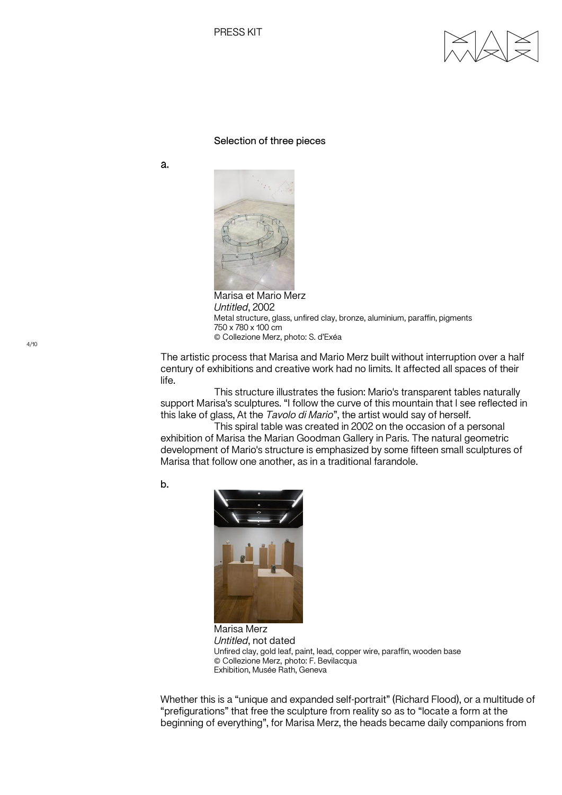

### Selection of three pieces

a.



Marisa et Mario Merz *Untitled*, 2002 Metal structure, glass, unfired clay, bronze, aluminium, paraffin, pigments 750 x 780 x 100 cm © Collezione Merz, photo: S. d'Exéa

The artistic process that Marisa and Mario Merz built without interruption over a half century of exhibitions and creative work had no limits. It affected all spaces of their life.

This structure illustrates the fusion: Mario's transparent tables naturally support Marisa's sculptures. "I follow the curve of this mountain that I see reflected in this lake of glass, At the *Tavolo di Mario*", the artist would say of herself.

This spiral table was created in 2002 on the occasion of a personal exhibition of Marisa the Marian Goodman Gallery in Paris. The natural geometric development of Mario's structure is emphasized by some fifteen small sculptures of Marisa that follow one another, as in a traditional farandole.

b.



Marisa Merz *Untitled*, not dated Unfired clay, gold leaf, paint, lead, copper wire, paraffin, wooden base © Collezione Merz, photo: F. Bevilacqua Exhibition, Musée Rath, Geneva

Whether this is a "unique and expanded self-portrait" (Richard Flood), or a multitude of "prefigurations" that free the sculpture from reality so as to "locate a form at the beginning of everything", for Marisa Merz, the heads became daily companions from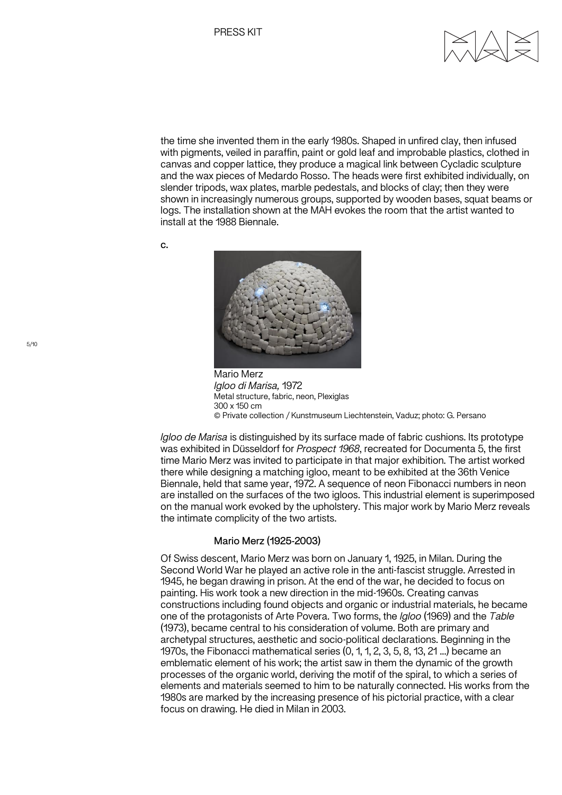

the time she invented them in the early 1980s. Shaped in unfired clay, then infused with pigments, veiled in paraffin, paint or gold leaf and improbable plastics, clothed in canvas and copper lattice, they produce a magical link between Cycladic sculpture and the wax pieces of Medardo Rosso. The heads were first exhibited individually, on slender tripods, wax plates, marble pedestals, and blocks of clay; then they were shown in increasingly numerous groups, supported by wooden bases, squat beams or logs. The installation shown at the MAH evokes the room that the artist wanted to install at the 1988 Biennale.

c.



Mario Merz *Igloo di Marisa,* 1972 Metal structure, fabric, neon, Plexiglas 300 x 150 cm © Private collection / Kunstmuseum Liechtenstein, Vaduz; photo: G. Persano

*Igloo de Marisa* is distinguished by its surface made of fabric cushions. Its prototype was exhibited in Düsseldorf for *Prospect 1968*, recreated for Documenta 5, the first time Mario Merz was invited to participate in that major exhibition. The artist worked there while designing a matching igloo, meant to be exhibited at the 36th Venice Biennale, held that same year, 1972. A sequence of neon Fibonacci numbers in neon are installed on the surfaces of the two igloos. This industrial element is superimposed on the manual work evoked by the upholstery. This major work by Mario Merz reveals the intimate complicity of the two artists.

# Mario Merz (1925-2003)

Of Swiss descent, Mario Merz was born on January 1, 1925, in Milan. During the Second World War he played an active role in the anti-fascist struggle. Arrested in 1945, he began drawing in prison. At the end of the war, he decided to focus on painting. His work took a new direction in the mid-1960s. Creating canvas constructions including found objects and organic or industrial materials, he became one of the protagonists of Arte Povera. Two forms, the *Igloo* (1969) and the *Table* (1973), became central to his consideration of volume. Both are primary and archetypal structures, aesthetic and socio-political declarations. Beginning in the 1970s, the Fibonacci mathematical series (0, 1, 1, 2, 3, 5, 8, 13, 21 ...) became an emblematic element of his work; the artist saw in them the dynamic of the growth processes of the organic world, deriving the motif of the spiral, to which a series of elements and materials seemed to him to be naturally connected. His works from the 1980s are marked by the increasing presence of his pictorial practice, with a clear focus on drawing. He died in Milan in 2003.

5/10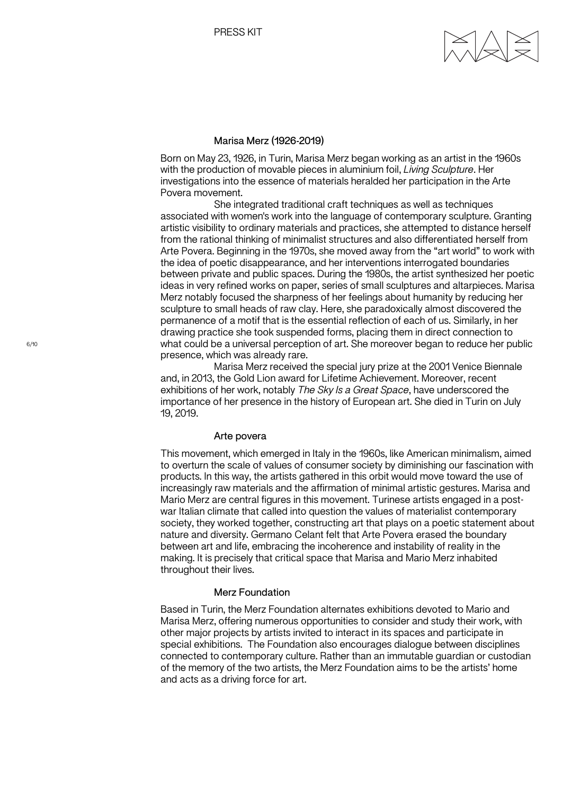### Marisa Merz (1926-2019)

Born on May 23, 1926, in Turin, Marisa Merz began working as an artist in the 1960s with the production of movable pieces in aluminium foil, *Living Sculpture*. Her investigations into the essence of materials heralded her participation in the Arte Povera movement.

She integrated traditional craft techniques as well as techniques associated with women's work into the language of contemporary sculpture. Granting artistic visibility to ordinary materials and practices, she attempted to distance herself from the rational thinking of minimalist structures and also differentiated herself from Arte Povera. Beginning in the 1970s, she moved away from the "art world" to work with the idea of poetic disappearance, and her interventions interrogated boundaries between private and public spaces. During the 1980s, the artist synthesized her poetic ideas in very refined works on paper, series of small sculptures and altarpieces. Marisa Merz notably focused the sharpness of her feelings about humanity by reducing her sculpture to small heads of raw clay. Here, she paradoxically almost discovered the permanence of a motif that is the essential reflection of each of us. Similarly, in her drawing practice she took suspended forms, placing them in direct connection to what could be a universal perception of art. She moreover began to reduce her public presence, which was already rare.

Marisa Merz received the special jury prize at the 2001 Venice Biennale and, in 2013, the Gold Lion award for Lifetime Achievement. Moreover, recent exhibitions of her work, notably *The Sky Is a Great Space*, have underscored the importance of her presence in the history of European art. She died in Turin on July 19, 2019.

#### Arte povera

This movement, which emerged in Italy in the 1960s, like American minimalism, aimed to overturn the scale of values of consumer society by diminishing our fascination with products. In this way, the artists gathered in this orbit would move toward the use of increasingly raw materials and the affirmation of minimal artistic gestures. Marisa and Mario Merz are central figures in this movement. Turinese artists engaged in a postwar Italian climate that called into question the values of materialist contemporary society, they worked together, constructing art that plays on a poetic statement about nature and diversity. Germano Celant felt that Arte Povera erased the boundary between art and life, embracing the incoherence and instability of reality in the making. It is precisely that critical space that Marisa and Mario Merz inhabited throughout their lives.

#### Merz Foundation

Based in Turin, the Merz Foundation alternates exhibitions devoted to Mario and Marisa Merz, offering numerous opportunities to consider and study their work, with other major projects by artists invited to interact in its spaces and participate in special exhibitions. The Foundation also encourages dialogue between disciplines connected to contemporary culture. Rather than an immutable guardian or custodian of the memory of the two artists, the Merz Foundation aims to be the artists' home and acts as a driving force for art.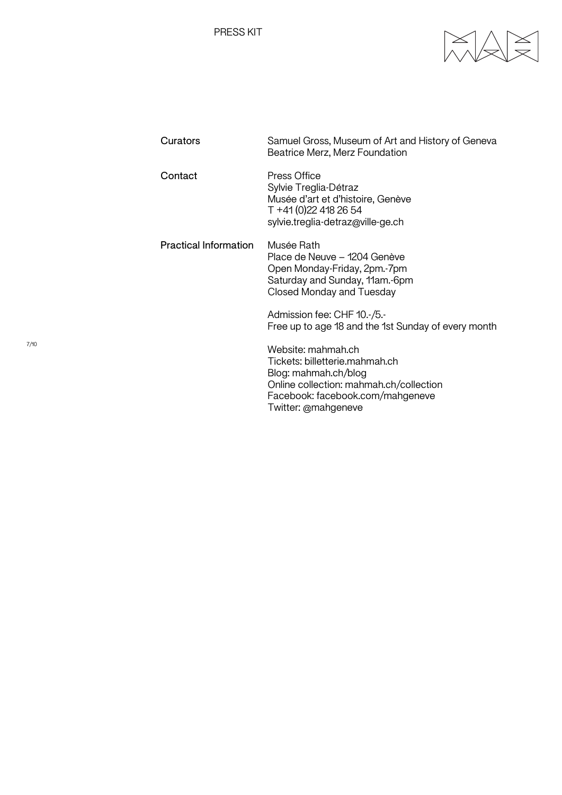PRESS KIT



| Curators                     | Samuel Gross, Museum of Art and History of Geneva<br>Beatrice Merz, Merz Foundation                                                                                                |
|------------------------------|------------------------------------------------------------------------------------------------------------------------------------------------------------------------------------|
| Contact                      | Press Office<br>Sylvie Treglia-Détraz<br>Musée d'art et d'histoire, Genève<br>T +41 (0) 22 418 26 54<br>sylvie.treglia-detraz@ville-ge.ch                                          |
| <b>Practical Information</b> | Musée Rath<br>Place de Neuve – 1204 Genève<br>Open Monday-Friday, 2pm.-7pm<br>Saturday and Sunday, 11am.-6pm<br>Closed Monday and Tuesday                                          |
|                              | Admission fee: CHF 10.-/5.-<br>Free up to age 18 and the 1st Sunday of every month                                                                                                 |
|                              | Website: mahmah.ch<br>Tickets: billetterie.mahmah.ch<br>Blog: mahmah.ch/blog<br>Online collection: mahmah.ch/collection<br>Facebook: facebook.com/mahgeneve<br>Twitter: @mahgeneve |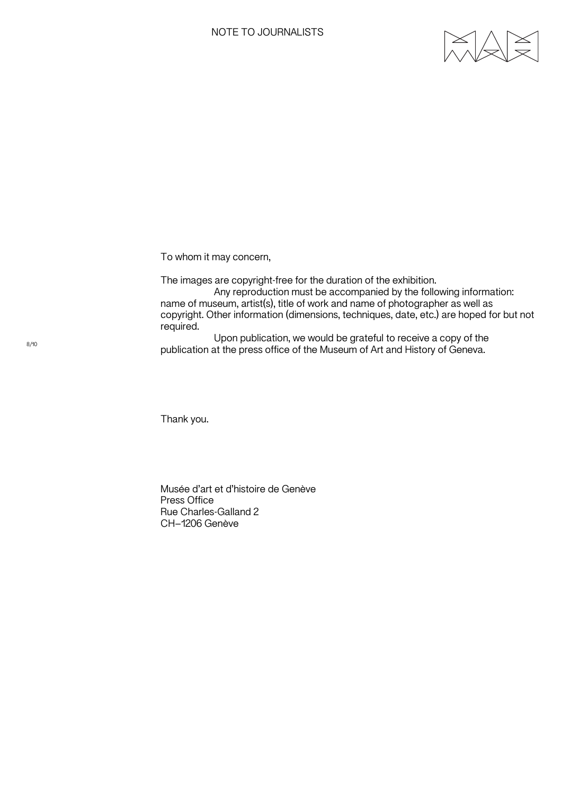

To whom it may concern,

The images are copyright-free for the duration of the exhibition. Any reproduction must be accompanied by the following information: name of museum, artist(s), title of work and name of photographer as well as copyright. Other information (dimensions, techniques, date, etc.) are hoped for but not required.

Upon publication, we would be grateful to receive a copy of the publication at the press office of the Museum of Art and History of Geneva.

Thank you.

Musée d'art et d'histoire de Genève Press Office Rue Charles-Galland 2 CH–1206 Genève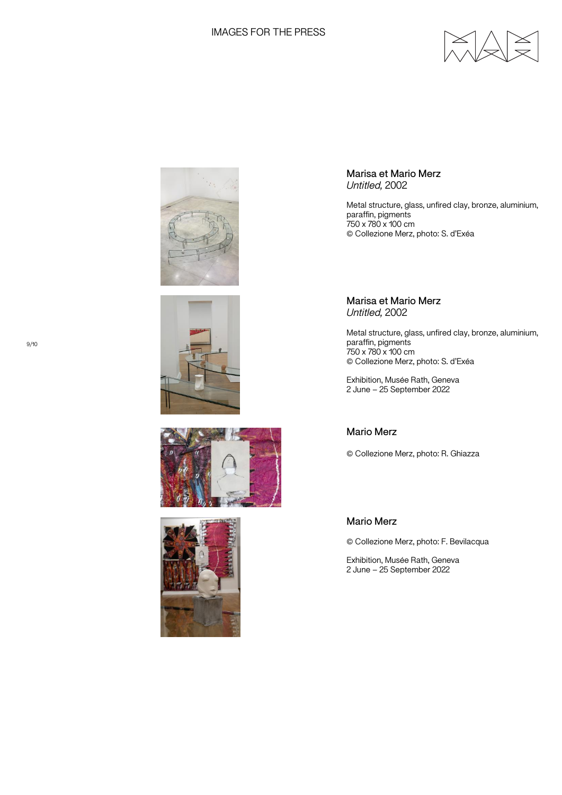# IMAGES FOR THE PRESS











Marisa et Mario Merz *Untitled,* 2002

Metal structure, glass, unfired clay, bronze, aluminium, paraffin, pigments 750 x 780 x 100 cm © Collezione Merz, photo: S. d'Exéa

Marisa et Mario Merz *Untitled,* 2002

Metal structure, glass, unfired clay, bronze, aluminium, paraffin, pigments 750 x 780 x 100 cm © Collezione Merz, photo: S. d'Exéa

Exhibition, Musée Rath, Geneva 2 June – 25 September 2022

# Mario Merz

© Collezione Merz, photo: R. Ghiazza

# Mario Merz

© Collezione Merz, photo: F. Bevilacqua

Exhibition, Musée Rath, Geneva 2 June – 25 September 2022